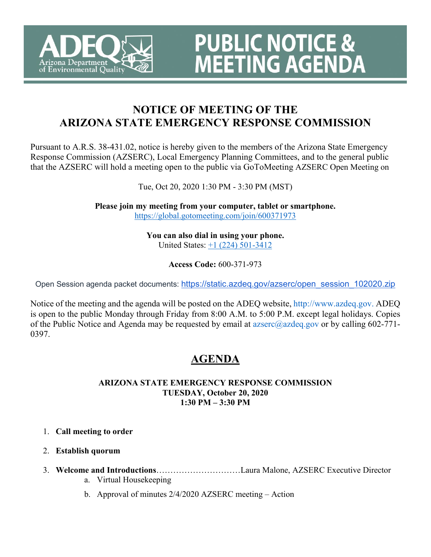

# **NOTICE OF MEETING OF THE ARIZONA STATE EMERGENCY RESPONSE COMMISSION**

**PUBLIC NOTICE &<br>MEETING AGENDA** 

Pursuant to A.R.S. 38-431.02, notice is hereby given to the members of the Arizona State Emergency Response Commission (AZSERC), Local Emergency Planning Committees, and to the general public that the AZSERC will hold a meeting open to the public via GoToMeeting AZSERC Open Meeting on

Tue, Oct 20, 2020 1:30 PM - 3:30 PM (MST)

**Please join my meeting from your computer, tablet or smartphone.**  <https://global.gotomeeting.com/join/600371973>

> **You can also dial in using your phone.** United States: [+1 \(224\) 501-3412](tel:+12245013412,,600371973)

> > **Access Code:** 600-371-973

Open Session agenda packet documents: [https://static.azdeq.gov/azserc/open\\_session\\_102020.zip](https://static.azdeq.gov/azserc/open_session_102020.zip)

Notice of the meeting and the agenda will be posted on the ADEQ website, http://www.azdeq.gov. ADEQ is open to the public Monday through Friday from 8:00 A.M. to 5:00 P.M. except legal holidays. Copies of the Public Notice and Agenda may be requested by email at azserc@azdeq.gov or by calling 602-771- 0397.

# **AGENDA**

### **ARIZONA STATE EMERGENCY RESPONSE COMMISSION TUESDAY, October 20, 2020 1:30 PM – 3:30 PM**

## 1. **Call meeting to order**

- 2. **Establish quorum**
- 3. **Welcome and Introductions**…………………………Laura Malone, AZSERC Executive Director
	- a. Virtual Housekeeping
	- b. Approval of minutes 2/4/2020 AZSERC meeting Action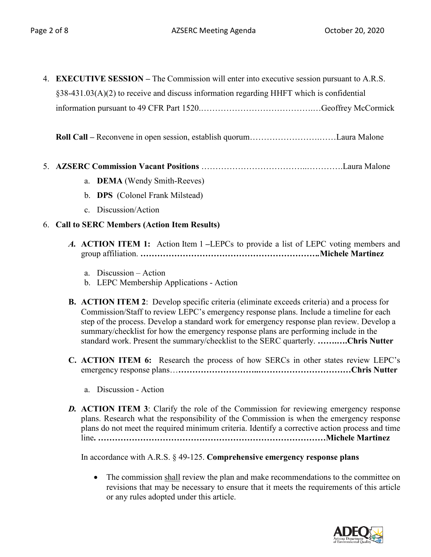- 4. **EXECUTIVE SESSION –** The Commission will enter into executive session pursuant to A.R.S. §38-431.03(A)(2) to receive and discuss information regarding HHFT which is confidential information pursuant to 49 CFR Part 1520.………………………………….…Geoffrey McCormick
	- **Roll Call –** Reconvene in open session, establish quorum…………………….……Laura Malone
- 5. **AZSERC Commission Vacant Positions** ………………………………..………….Laura Malone
	- a. **DEMA** (Wendy Smith-Reeves)
	- b. **DPS** (Colonel Frank Milstead)
	- c. Discussion/Action

### 6. **Call to SERC Members (Action Item Results)**

- *A.* **ACTION ITEM 1:** Action Item 1 **–**LEPCs to provide a list of LEPC voting members and group affiliation. *……………………………………………………….***Michele Martinez**
	- a. Discussion Action
	- b. LEPC Membership Applications Action
- **B. ACTION ITEM 2**: Develop specific criteria (eliminate exceeds criteria) and a process for Commission/Staff to review LEPC's emergency response plans. Include a timeline for each step of the process. Develop a standard work for emergency response plan review. Develop a summary/checklist for how the emergency response plans are performing include in the standard work. Present the summary/checklist to the SERC quarterly. **…….….Chris Nutter**
- **C. ACTION ITEM 6:** Research the process of how SERCs in other states review LEPC's emergency response plans…**………………………..……………………………Chris Nutter**
	- a. Discussion Action
- **D. ACTION ITEM 3**: Clarify the role of the Commission for reviewing emergency response plans. Research what the responsibility of the Commission is when the emergency response plans do not meet the required minimum criteria. Identify a corrective action process and time line**. ………………………………………………………………………Michele Martinez**

In accordance with A.R.S. § 49-125. **Comprehensive emergency response plans**

• The commission shall review the plan and make recommendations to the committee on revisions that may be necessary to ensure that it meets the requirements of this article or any rules adopted under this article.

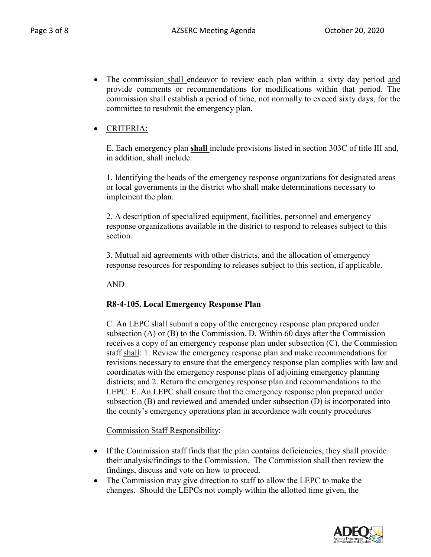• The commission shall endeavor to review each plan within a sixty day period and provide comments or recommendations for modifications within that period. The commission shall establish a period of time, not normally to exceed sixty days, for the committee to resubmit the emergency plan.

# • CRITERIA:

E. Each emergency plan **shall** include provisions listed in section 303C of title III and, in addition, shall include:

1. Identifying the heads of the emergency response organizations for designated areas or local governments in the district who shall make determinations necessary to implement the plan.

2. A description of specialized equipment, facilities, personnel and emergency response organizations available in the district to respond to releases subject to this section.

3. Mutual aid agreements with other districts, and the allocation of emergency response resources for responding to releases subject to this section, if applicable.

AND

## **R8-4-105. Local Emergency Response Plan**

C. An LEPC shall submit a copy of the emergency response plan prepared under subsection (A) or (B) to the Commission. D. Within 60 days after the Commission receives a copy of an emergency response plan under subsection (C), the Commission staff shall: 1. Review the emergency response plan and make recommendations for revisions necessary to ensure that the emergency response plan complies with law and coordinates with the emergency response plans of adjoining emergency planning districts; and 2. Return the emergency response plan and recommendations to the LEPC. E. An LEPC shall ensure that the emergency response plan prepared under subsection (B) and reviewed and amended under subsection (D) is incorporated into the county's emergency operations plan in accordance with county procedures

Commission Staff Responsibility:

- If the Commission staff finds that the plan contains deficiencies, they shall provide their analysis/findings to the Commission. The Commission shall then review the findings, discuss and vote on how to proceed.
- The Commission may give direction to staff to allow the LEPC to make the changes. Should the LEPCs not comply within the allotted time given, the

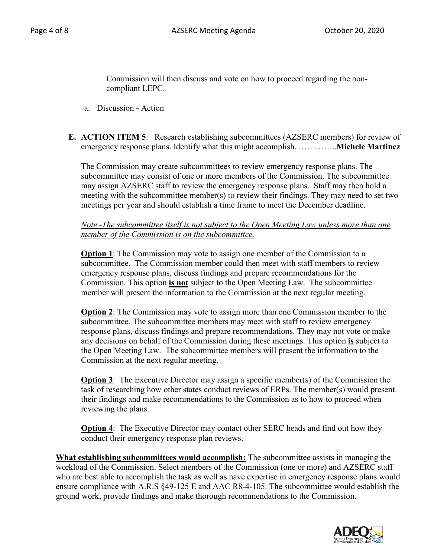Commission will then discuss and vote on how to proceed regarding the noncompliant LEPC.

- a. Discussion Action
- **E. ACTION ITEM 5**: Research establishing subcommittees (AZSERC members) for review of emergency response plans. Identify what this might accomplish. …………..**Michele Martinez**

The Commission may create subcommittees to review emergency response plans. The subcommittee may consist of one or more members of the Commission. The subcommittee may assign AZSERC staff to review the emergency response plans. Staff may then hold a meeting with the subcommittee member(s) to review their findings. They may need to set two meetings per year and should establish a time frame to meet the December deadline.

*Note -The subcommittee itself is not subject to the Open Meeting Law unless more than one member of the Commission is on the subcommittee.* 

**Option 1**: The Commission may vote to assign one member of the Commission to a subcommittee. The Commission member could then meet with staff members to review emergency response plans, discuss findings and prepare recommendations for the Commission. This option **is not** subject to the Open Meeting Law. The subcommittee member will present the information to the Commission at the next regular meeting.

**Option 2**: The Commission may vote to assign more than one Commission member to the subcommittee. The subcommittee members may meet with staff to review emergency response plans, discuss findings and prepare recommendations. They may not vote or make any decisions on behalf of the Commission during these meetings. This option **is** subject to the Open Meeting Law. The subcommittee members will present the information to the Commission at the next regular meeting.

**Option 3:** The Executive Director may assign a specific member(s) of the Commission the task of researching how other states conduct reviews of ERPs. The member(s) would present their findings and make recommendations to the Commission as to how to proceed when reviewing the plans.

**Option 4**: The Executive Director may contact other SERC heads and find out how they conduct their emergency response plan reviews.

**What establishing subcommittees would accomplish:** The subcommittee assists in managing the workload of the Commission. Select members of the Commission (one or more) and AZSERC staff who are best able to accomplish the task as well as have expertise in emergency response plans would ensure compliance with A.R.S §49-125 E and AAC R8-4-105. The subcommittee would establish the ground work, provide findings and make thorough recommendations to the Commission.

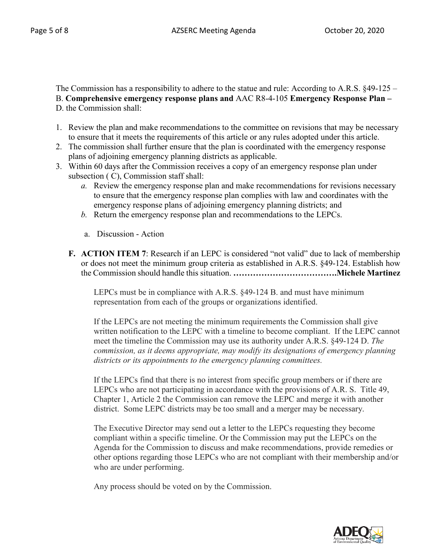The Commission has a responsibility to adhere to the statue and rule: According to A.R.S. §49-125 – B. **Comprehensive emergency response plans and** AAC R8-4-105 **Emergency Response Plan –** D. the Commission shall:

- 1. Review the plan and make recommendations to the committee on revisions that may be necessary to ensure that it meets the requirements of this article or any rules adopted under this article.
- 2. The commission shall further ensure that the plan is coordinated with the emergency response plans of adjoining emergency planning districts as applicable.
- 3. Within 60 days after the Commission receives a copy of an emergency response plan under subsection ( C), Commission staff shall:
	- *a.* Review the emergency response plan and make recommendations for revisions necessary to ensure that the emergency response plan complies with law and coordinates with the emergency response plans of adjoining emergency planning districts; and
	- *b.* Return the emergency response plan and recommendations to the LEPCs.
	- a. Discussion Action
	- **F. ACTION ITEM 7**: Research if an LEPC is considered "not valid" due to lack of membership or does not meet the minimum group criteria as established in A.R.S. §49-124. Establish how the Commission should handle this situation. **……………………………….Michele Martinez**

LEPCs must be in compliance with A.R.S. §49-124 B. and must have minimum representation from each of the groups or organizations identified.

If the LEPCs are not meeting the minimum requirements the Commission shall give written notification to the LEPC with a timeline to become compliant. If the LEPC cannot meet the timeline the Commission may use its authority under A.R.S. §49-124 D. *The commission, as it deems appropriate, may modify its designations of emergency planning districts or its appointments to the emergency planning committees.*

If the LEPCs find that there is no interest from specific group members or if there are LEPCs who are not participating in accordance with the provisions of A.R. S. Title 49, Chapter 1, Article 2 the Commission can remove the LEPC and merge it with another district. Some LEPC districts may be too small and a merger may be necessary.

The Executive Director may send out a letter to the LEPCs requesting they become compliant within a specific timeline. Or the Commission may put the LEPCs on the Agenda for the Commission to discuss and make recommendations, provide remedies or other options regarding those LEPCs who are not compliant with their membership and/or who are under performing.

Any process should be voted on by the Commission.

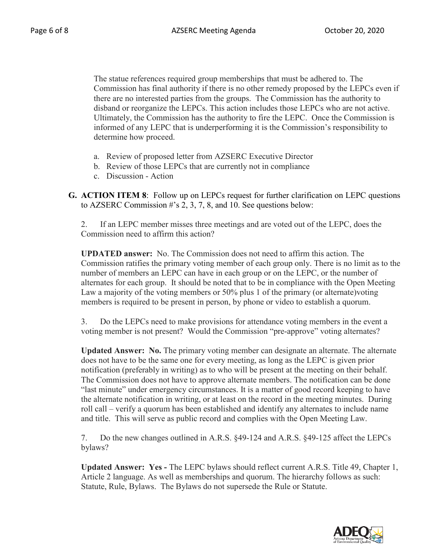The statue references required group memberships that must be adhered to. The Commission has final authority if there is no other remedy proposed by the LEPCs even if there are no interested parties from the groups. The Commission has the authority to disband or reorganize the LEPCs. This action includes those LEPCs who are not active. Ultimately, the Commission has the authority to fire the LEPC. Once the Commission is informed of any LEPC that is underperforming it is the Commission's responsibility to determine how proceed.

- a. Review of proposed letter from AZSERC Executive Director
- b. Review of those LEPCs that are currently not in compliance
- c. Discussion Action
- **G. ACTION ITEM 8**: Follow up on LEPCs request for further clarification on LEPC questions to AZSERC Commission #'s 2, 3, 7, 8, and 10. See questions below:

2. If an LEPC member misses three meetings and are voted out of the LEPC, does the Commission need to affirm this action?

**UPDATED answer:** No. The Commission does not need to affirm this action. The Commission ratifies the primary voting member of each group only. There is no limit as to the number of members an LEPC can have in each group or on the LEPC, or the number of alternates for each group. It should be noted that to be in compliance with the Open Meeting Law a majority of the voting members or 50% plus 1 of the primary (or alternate)voting members is required to be present in person, by phone or video to establish a quorum.

3. Do the LEPCs need to make provisions for attendance voting members in the event a voting member is not present? Would the Commission "pre-approve" voting alternates?

**Updated Answer: No.** The primary voting member can designate an alternate. The alternate does not have to be the same one for every meeting, as long as the LEPC is given prior notification (preferably in writing) as to who will be present at the meeting on their behalf. The Commission does not have to approve alternate members. The notification can be done "last minute" under emergency circumstances. It is a matter of good record keeping to have the alternate notification in writing, or at least on the record in the meeting minutes. During roll call – verify a quorum has been established and identify any alternates to include name and title. This will serve as public record and complies with the Open Meeting Law.

7. Do the new changes outlined in A.R.S. §49-124 and A.R.S. §49-125 affect the LEPCs bylaws?

**Updated Answer: Yes -** The LEPC bylaws should reflect current A.R.S. Title 49, Chapter 1, Article 2 language. As well as memberships and quorum. The hierarchy follows as such: Statute, Rule, Bylaws. The Bylaws do not supersede the Rule or Statute.

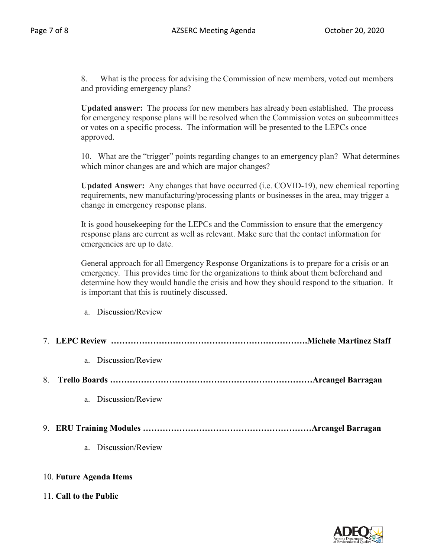8. What is the process for advising the Commission of new members, voted out members and providing emergency plans?

**Updated answer:** The process for new members has already been established. The process for emergency response plans will be resolved when the Commission votes on subcommittees or votes on a specific process. The information will be presented to the LEPCs once approved.

10. What are the "trigger" points regarding changes to an emergency plan? What determines which minor changes are and which are major changes?

**Updated Answer:** Any changes that have occurred (i.e. COVID-19), new chemical reporting requirements, new manufacturing/processing plants or businesses in the area, may trigger a change in emergency response plans.

It is good housekeeping for the LEPCs and the Commission to ensure that the emergency response plans are current as well as relevant. Make sure that the contact information for emergencies are up to date.

General approach for all Emergency Response Organizations is to prepare for a crisis or an emergency. This provides time for the organizations to think about them beforehand and determine how they would handle the crisis and how they should respond to the situation. It is important that this is routinely discussed.

| a. Discussion/Review |
|----------------------|
|                      |

|                         | a. Discussion/Review |  |  |
|-------------------------|----------------------|--|--|
| 8.                      |                      |  |  |
|                         | a. Discussion/Review |  |  |
|                         |                      |  |  |
|                         | a. Discussion/Review |  |  |
| 10. Future Agenda Items |                      |  |  |

# 11. **Call to the Public**